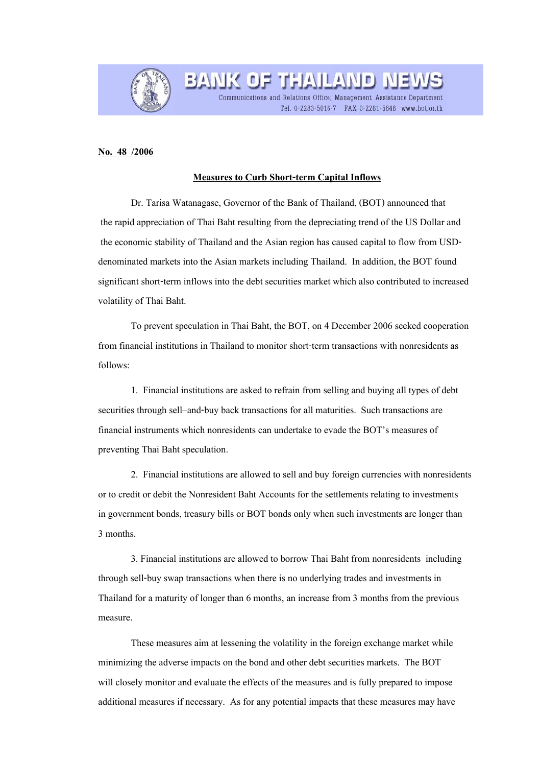

**BANK OF THAILAND** Communications and Relations Office, Management Assistance Department Tel. 0-2283-5016-7 FAX 0-2281-5648 www.bot.or.th

## **No. 48 /2006**

## **Measures to Curb Short-term Capital Inflows**

 Dr. Tarisa Watanagase, Governor of the Bank of Thailand, (BOT) announced that the rapid appreciation of Thai Baht resulting from the depreciating trend of the US Dollar and the economic stability of Thailand and the Asian region has caused capital to flow from USDdenominated markets into the Asian markets including Thailand. In addition, the BOT found significant short-term inflows into the debt securities market which also contributed to increased volatility of Thai Baht.

To prevent speculation in Thai Baht, the BOT, on 4 December 2006 seeked cooperation from financial institutions in Thailand to monitor short-term transactions with nonresidents as follows:

1. Financial institutions are asked to refrain from selling and buying all types of debt securities through sell–and-buy back transactions for all maturities. Such transactions are financial instruments which nonresidents can undertake to evade the BOT's measures of preventing Thai Baht speculation.

2. Financial institutions are allowed to sell and buy foreign currencies with nonresidents or to credit or debit the Nonresident Baht Accounts for the settlements relating to investments in government bonds, treasury bills or BOT bonds only when such investments are longer than 3 months.

3. Financial institutions are allowed to borrow Thai Baht from nonresidents including through sell-buy swap transactions when there is no underlying trades and investments in Thailand for a maturity of longer than 6 months, an increase from 3 months from the previous measure.

These measures aim at lessening the volatility in the foreign exchange market while minimizing the adverse impacts on the bond and other debt securities markets. The BOT will closely monitor and evaluate the effects of the measures and is fully prepared to impose additional measures if necessary. As for any potential impacts that these measures may have